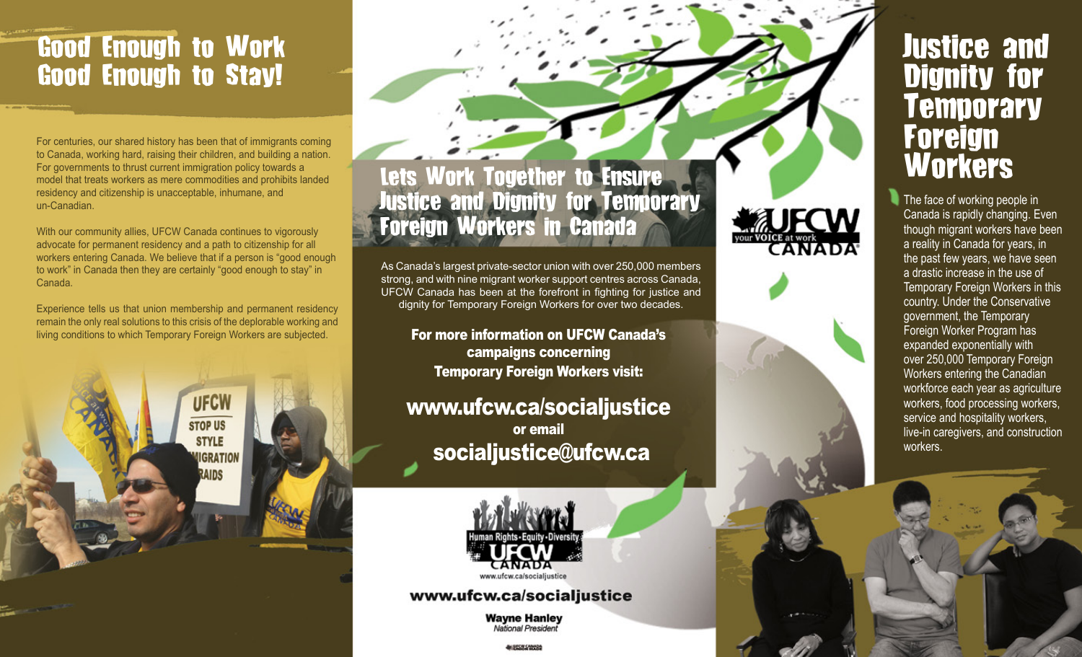# Good Enough to Work Good Enough to Stay!

For centuries, our shared history has been that of immigrants coming to Canada, working hard, raising their children, and building a nation. For governments to thrust current immigration policy towards a model that treats workers as mere commodities and prohibits landed residency and citizenship is unacceptable, inhumane, and un-Canadian.

With our community allies, UFCW Canada continues to vigorously advocate for permanent residency and a path to citizenship for all workers entering Canada. We believe that if a person is "good enough to work" in Canada then they are certainly "good enough to stay" in Canada.

Experience tells us that union membership and permanent residency remain the only real solutions to this crisis of the deplorable working and living conditions to which Temporary Foreign Workers are subjected.

UFCV **STOP US STYLE IGRATION** RAIDS

## Lets Work Together to Ensure Justice and Dignity for Temporary Foreign Workers in Canada

As Canada's largest private-sector union with over 250,000 members strong, and with nine migrant worker support centres across Canada, UFCW Canada has been at the forefront in fighting for justice and dignity for Temporary Foreign Workers for over two decades.

For more information on UFCW Canada's campaigns concerning Temporary Foreign Workers visit:

## www.ufcw.ca/socialjustice or email socialjustice@ufcw.ca



### www.ufcw.ca/socialjustice

**Wayne Hanley** National President

**BALBITCHE CANADI** 



The face of working people in Canada is rapidly changing. Even though migrant workers have been a reality in Canada for years, in the past few years, we have seen a drastic increase in the use of Temporary Foreign Workers in this country. Under the Conservative government, the Temporary Foreign Worker Program has expanded exponentially with over 250,000 Temporary Foreign Workers entering the Canadian workforce each year as agriculture workers, food processing workers, service and hospitality workers, live-in caregivers, and construction

Justice and

Dignity for

**Temporary** 

Foreign

**Workers** 

workers.